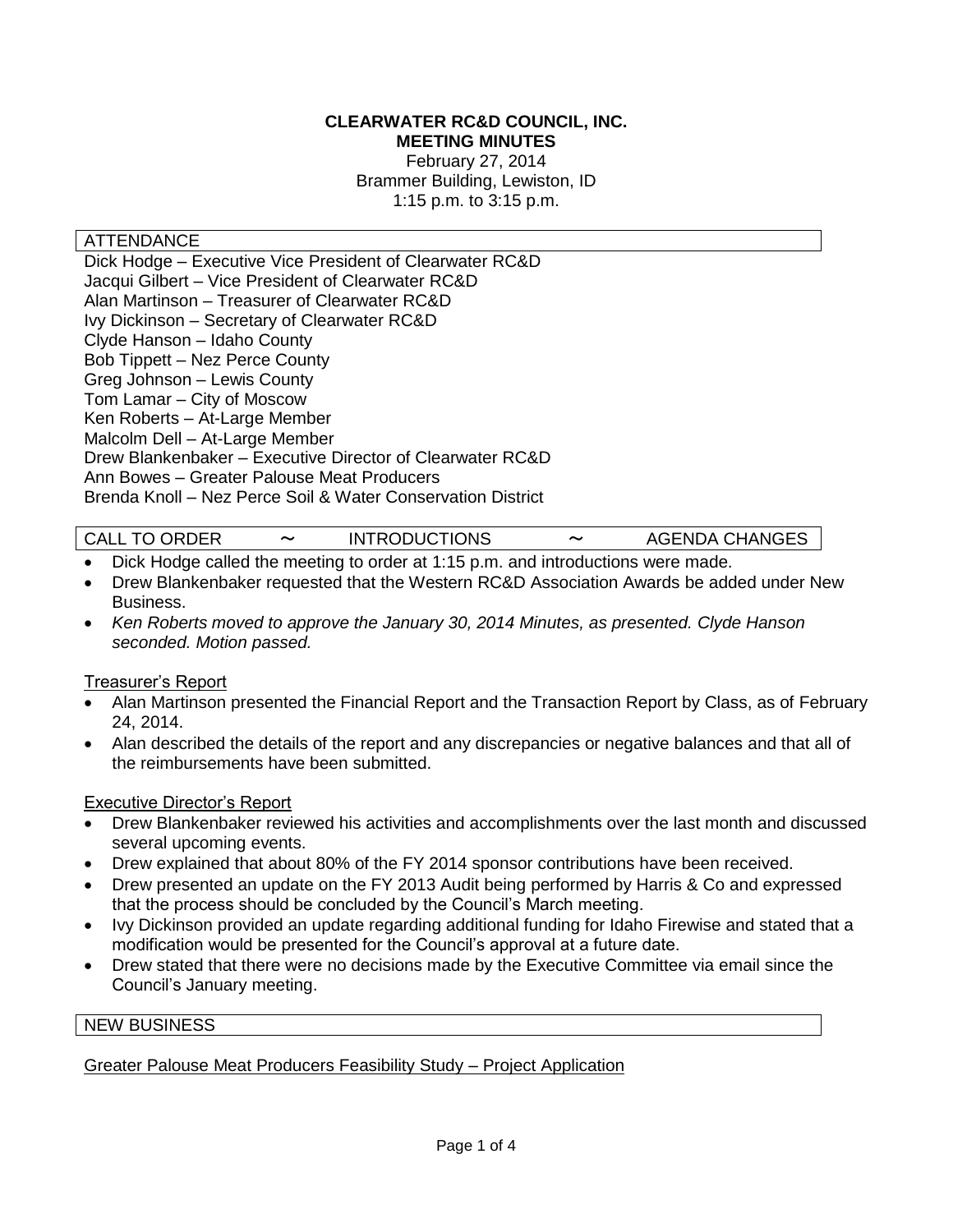#### **CLEARWATER RC&D COUNCIL, INC. MEETING MINUTES**

February 27, 2014 Brammer Building, Lewiston, ID 1:15 p.m. to 3:15 p.m.

#### ATTENDANCE

Dick Hodge – Executive Vice President of Clearwater RC&D Jacqui Gilbert – Vice President of Clearwater RC&D Alan Martinson – Treasurer of Clearwater RC&D Ivy Dickinson – Secretary of Clearwater RC&D Clyde Hanson – Idaho County Bob Tippett – Nez Perce County Greg Johnson – Lewis County Tom Lamar – City of Moscow Ken Roberts – At-Large Member Malcolm Dell – At-Large Member Drew Blankenbaker – Executive Director of Clearwater RC&D Ann Bowes – Greater Palouse Meat Producers Brenda Knoll – Nez Perce Soil & Water Conservation District

|  | <b>CALL TO ORDER</b> | $\tilde{\phantom{a}}$ | <b>INTRODUCTIONS</b> | $\tilde{\phantom{a}}$ | <b>AGENDA CHANGES</b> |
|--|----------------------|-----------------------|----------------------|-----------------------|-----------------------|
|--|----------------------|-----------------------|----------------------|-----------------------|-----------------------|

- Dick Hodge called the meeting to order at 1:15 p.m. and introductions were made.
- Drew Blankenbaker requested that the Western RC&D Association Awards be added under New Business.
- *Ken Roberts moved to approve the January 30, 2014 Minutes, as presented. Clyde Hanson seconded. Motion passed.*

#### Treasurer's Report

- Alan Martinson presented the Financial Report and the Transaction Report by Class, as of February 24, 2014.
- Alan described the details of the report and any discrepancies or negative balances and that all of the reimbursements have been submitted.

#### Executive Director's Report

- Drew Blankenbaker reviewed his activities and accomplishments over the last month and discussed several upcoming events.
- Drew explained that about 80% of the FY 2014 sponsor contributions have been received.
- Drew presented an update on the FY 2013 Audit being performed by Harris & Co and expressed that the process should be concluded by the Council's March meeting.
- Ivy Dickinson provided an update regarding additional funding for Idaho Firewise and stated that a modification would be presented for the Council's approval at a future date.
- Drew stated that there were no decisions made by the Executive Committee via email since the Council's January meeting.

#### NEW BUSINESS

#### Greater Palouse Meat Producers Feasibility Study – Project Application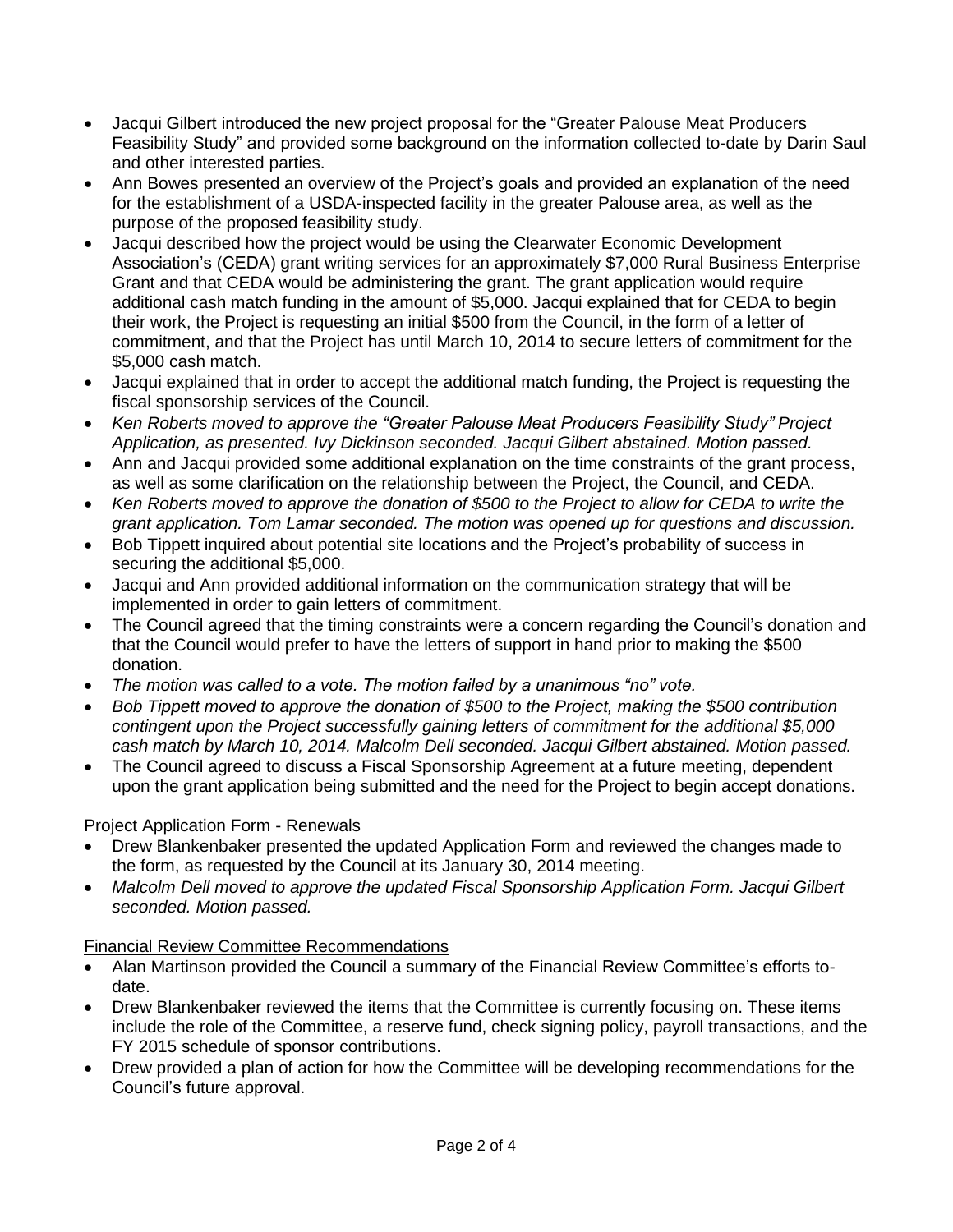- Jacqui Gilbert introduced the new project proposal for the "Greater Palouse Meat Producers Feasibility Study" and provided some background on the information collected to-date by Darin Saul and other interested parties.
- Ann Bowes presented an overview of the Project's goals and provided an explanation of the need for the establishment of a USDA-inspected facility in the greater Palouse area, as well as the purpose of the proposed feasibility study.
- Jacqui described how the project would be using the Clearwater Economic Development Association's (CEDA) grant writing services for an approximately \$7,000 Rural Business Enterprise Grant and that CEDA would be administering the grant. The grant application would require additional cash match funding in the amount of \$5,000. Jacqui explained that for CEDA to begin their work, the Project is requesting an initial \$500 from the Council, in the form of a letter of commitment, and that the Project has until March 10, 2014 to secure letters of commitment for the \$5,000 cash match.
- Jacqui explained that in order to accept the additional match funding, the Project is requesting the fiscal sponsorship services of the Council.
- *Ken Roberts moved to approve the "Greater Palouse Meat Producers Feasibility Study" Project Application, as presented. Ivy Dickinson seconded. Jacqui Gilbert abstained. Motion passed.*
- Ann and Jacqui provided some additional explanation on the time constraints of the grant process, as well as some clarification on the relationship between the Project, the Council, and CEDA.
- *Ken Roberts moved to approve the donation of \$500 to the Project to allow for CEDA to write the grant application. Tom Lamar seconded. The motion was opened up for questions and discussion.*
- Bob Tippett inquired about potential site locations and the Project's probability of success in securing the additional \$5,000.
- Jacqui and Ann provided additional information on the communication strategy that will be implemented in order to gain letters of commitment.
- The Council agreed that the timing constraints were a concern regarding the Council's donation and that the Council would prefer to have the letters of support in hand prior to making the \$500 donation.
- *The motion was called to a vote. The motion failed by a unanimous "no" vote.*
- *Bob Tippett moved to approve the donation of \$500 to the Project, making the \$500 contribution contingent upon the Project successfully gaining letters of commitment for the additional \$5,000 cash match by March 10, 2014. Malcolm Dell seconded. Jacqui Gilbert abstained. Motion passed.*
- The Council agreed to discuss a Fiscal Sponsorship Agreement at a future meeting, dependent upon the grant application being submitted and the need for the Project to begin accept donations.

# Project Application Form - Renewals

- Drew Blankenbaker presented the updated Application Form and reviewed the changes made to the form, as requested by the Council at its January 30, 2014 meeting.
- *Malcolm Dell moved to approve the updated Fiscal Sponsorship Application Form. Jacqui Gilbert seconded. Motion passed.*

## Financial Review Committee Recommendations

- Alan Martinson provided the Council a summary of the Financial Review Committee's efforts todate.
- Drew Blankenbaker reviewed the items that the Committee is currently focusing on. These items include the role of the Committee, a reserve fund, check signing policy, payroll transactions, and the FY 2015 schedule of sponsor contributions.
- Drew provided a plan of action for how the Committee will be developing recommendations for the Council's future approval.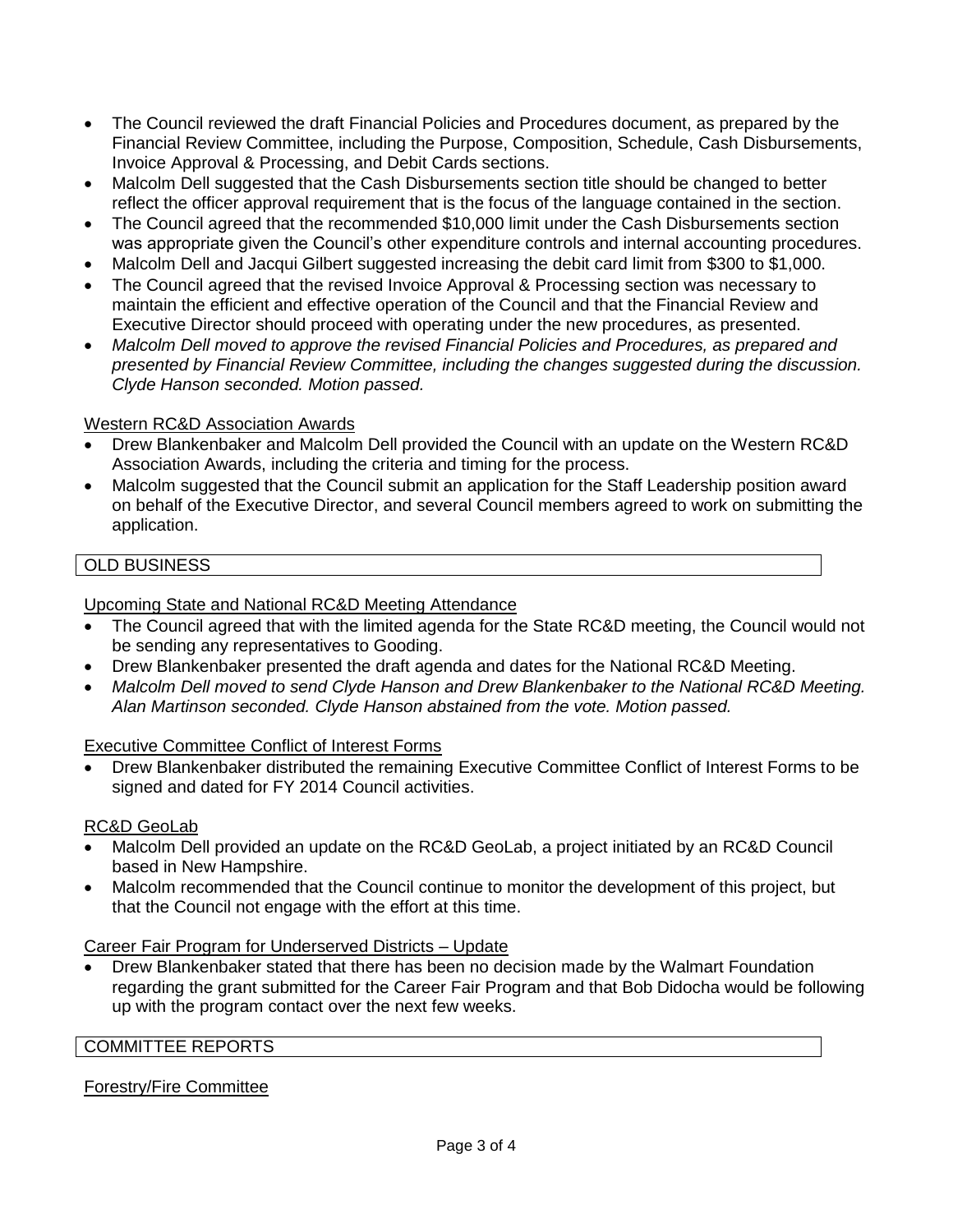- The Council reviewed the draft Financial Policies and Procedures document, as prepared by the Financial Review Committee, including the Purpose, Composition, Schedule, Cash Disbursements, Invoice Approval & Processing, and Debit Cards sections.
- Malcolm Dell suggested that the Cash Disbursements section title should be changed to better reflect the officer approval requirement that is the focus of the language contained in the section.
- The Council agreed that the recommended \$10,000 limit under the Cash Disbursements section was appropriate given the Council's other expenditure controls and internal accounting procedures.
- Malcolm Dell and Jacqui Gilbert suggested increasing the debit card limit from \$300 to \$1,000.
- The Council agreed that the revised Invoice Approval & Processing section was necessary to maintain the efficient and effective operation of the Council and that the Financial Review and Executive Director should proceed with operating under the new procedures, as presented.
- *Malcolm Dell moved to approve the revised Financial Policies and Procedures, as prepared and presented by Financial Review Committee, including the changes suggested during the discussion. Clyde Hanson seconded. Motion passed.*

### Western RC&D Association Awards

- Drew Blankenbaker and Malcolm Dell provided the Council with an update on the Western RC&D Association Awards, including the criteria and timing for the process.
- Malcolm suggested that the Council submit an application for the Staff Leadership position award on behalf of the Executive Director, and several Council members agreed to work on submitting the application.

## OLD BUSINESS

Upcoming State and National RC&D Meeting Attendance

- The Council agreed that with the limited agenda for the State RC&D meeting, the Council would not be sending any representatives to Gooding.
- Drew Blankenbaker presented the draft agenda and dates for the National RC&D Meeting.
- *Malcolm Dell moved to send Clyde Hanson and Drew Blankenbaker to the National RC&D Meeting. Alan Martinson seconded. Clyde Hanson abstained from the vote. Motion passed.*

Executive Committee Conflict of Interest Forms

 Drew Blankenbaker distributed the remaining Executive Committee Conflict of Interest Forms to be signed and dated for FY 2014 Council activities.

#### RC&D GeoLab

- Malcolm Dell provided an update on the RC&D GeoLab, a project initiated by an RC&D Council based in New Hampshire.
- Malcolm recommended that the Council continue to monitor the development of this project, but that the Council not engage with the effort at this time.

#### Career Fair Program for Underserved Districts – Update

 Drew Blankenbaker stated that there has been no decision made by the Walmart Foundation regarding the grant submitted for the Career Fair Program and that Bob Didocha would be following up with the program contact over the next few weeks.

#### COMMITTEE REPORTS

## Forestry/Fire Committee